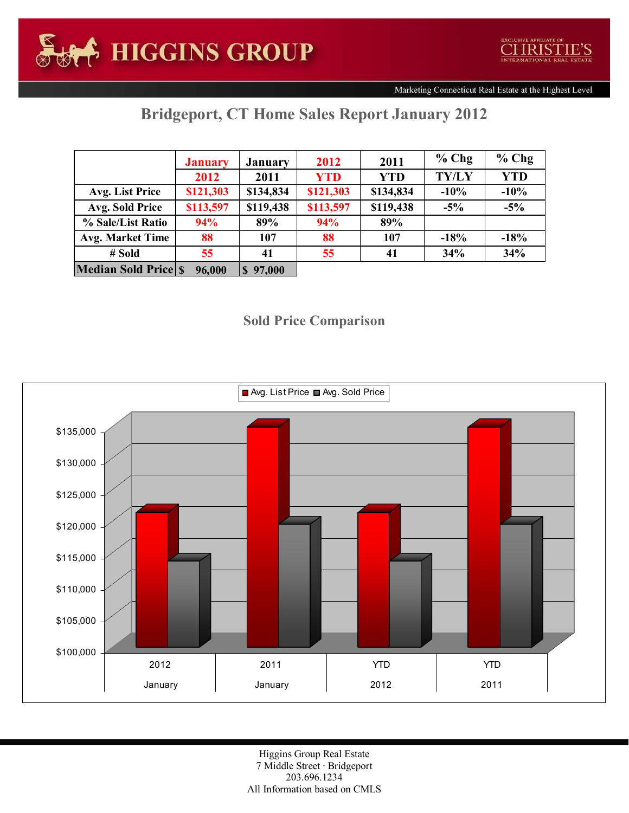Marketing Connecticut Real Estate at the Highest Level

## Bridgeport, CT Home Sales Report January 2012

|                            | <b>January</b> | <b>January</b> | 2012       | 2011       | $%$ Chg      | $%$ Chg    |
|----------------------------|----------------|----------------|------------|------------|--------------|------------|
|                            | 2012           | 2011           | <b>YTD</b> | <b>YTD</b> | <b>TY/LY</b> | <b>YTD</b> |
| Avg. List Price            | \$121,303      | \$134,834      | \$121,303  | \$134,834  | $-10%$       | $-10%$     |
| <b>Avg. Sold Price</b>     | \$113,597      | \$119,438      | \$113,597  | \$119,438  | $-5\%$       | $-5%$      |
| % Sale/List Ratio          | 94%            | 89%            | 94%        | 89%        |              |            |
| <b>Avg. Market Time</b>    | 88             | 107            | 88         | 107        | $-18%$       | $-18%$     |
| # Sold                     | 55             | 41             | 55         | 41         | 34%          | 34%        |
| <b>Median Sold Price S</b> | 96,000         | $S$ 97,000     |            |            |              |            |

## Sold Price Comparison



Higgins Group Real Estate 7 Middle Street · Bridgeport 203.696.1234 All Information based on CMLS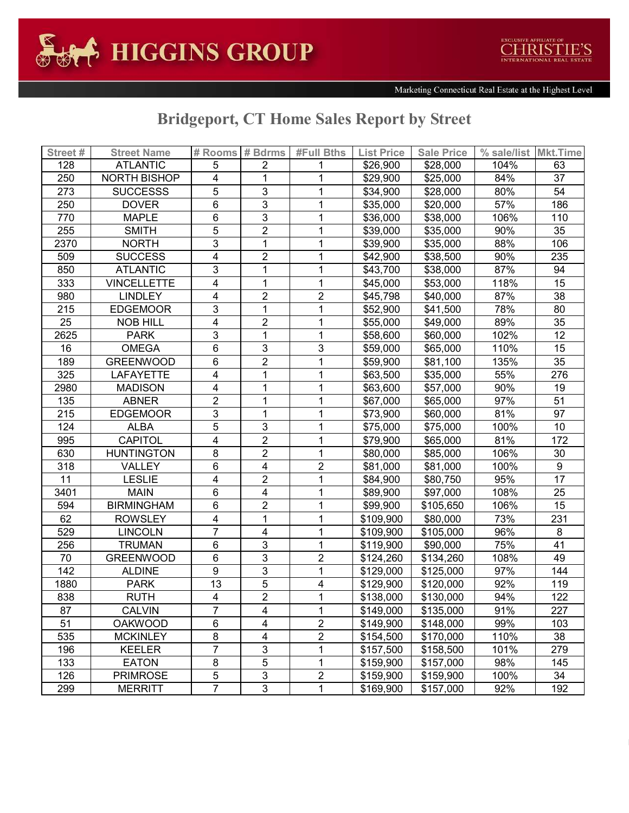

## Bridgeport, CT Home Sales Report by Street

| Street# | <b>Street Name</b> |                         | # Rooms # Bdrms         | #Full Bths              | <b>List Price</b> | <b>Sale Price</b> | % sale/list Mkt.Time |     |
|---------|--------------------|-------------------------|-------------------------|-------------------------|-------------------|-------------------|----------------------|-----|
| 128     | <b>ATLANTIC</b>    | 5                       | 2                       |                         | \$26,900          | \$28,000          | 104%                 | 63  |
| 250     | NORTH BISHOP       | 4                       | 1                       | 1                       | \$29,900          | \$25,000          | 84%                  | 37  |
| 273     | <b>SUCCESSS</b>    | 5                       | 3                       | 1                       | \$34,900          | \$28,000          | 80%                  | 54  |
| 250     | <b>DOVER</b>       | 6                       | $\mathfrak{S}$          | 1                       | \$35,000          | \$20,000          | 57%                  | 186 |
| 770     | <b>MAPLE</b>       | 6                       | 3                       | 1                       | \$36,000          | \$38,000          | 106%                 | 110 |
| 255     | <b>SMITH</b>       | 5                       | $\overline{2}$          | 1                       | \$39,000          | \$35,000          | 90%                  | 35  |
| 2370    | <b>NORTH</b>       | 3                       | 1                       | 1                       | \$39,900          | \$35,000          | 88%                  | 106 |
| 509     | <b>SUCCESS</b>     | $\overline{\mathbf{4}}$ | $\overline{2}$          | 1                       | \$42,900          | \$38,500          | 90%                  | 235 |
| 850     | <b>ATLANTIC</b>    | 3                       | 1                       | 1                       | \$43,700          | \$38,000          | 87%                  | 94  |
| 333     | <b>VINCELLETTE</b> | 4                       | 1                       | 1                       | \$45,000          | \$53,000          | 118%                 | 15  |
| 980     | <b>LINDLEY</b>     | 4                       | $\overline{c}$          | 2                       | \$45,798          | \$40,000          | 87%                  | 38  |
| 215     | <b>EDGEMOOR</b>    | 3                       | 1                       | 1                       | \$52,900          | \$41,500          | 78%                  | 80  |
| 25      | <b>NOB HILL</b>    | $\overline{\mathbf{4}}$ | $\overline{2}$          | 1                       | \$55,000          | \$49,000          | 89%                  | 35  |
| 2625    | <b>PARK</b>        | 3                       | 1                       | 1                       | \$58,600          | \$60,000          | 102%                 | 12  |
| 16      | <b>OMEGA</b>       | 6                       | 3                       | 3                       | \$59,000          | \$65,000          | 110%                 | 15  |
| 189     | <b>GREENWOOD</b>   | 6                       | $\overline{2}$          | 1                       | \$59,900          | \$81,100          | 135%                 | 35  |
| 325     | <b>LAFAYETTE</b>   | 4                       | 1                       | 1                       | \$63,500          | \$35,000          | 55%                  | 276 |
| 2980    | <b>MADISON</b>     | 4                       | 1                       | 1                       | \$63,600          | \$57,000          | 90%                  | 19  |
| 135     | <b>ABNER</b>       | $\overline{c}$          |                         | 1                       | \$67,000          | \$65,000          | 97%                  | 51  |
| 215     | <b>EDGEMOOR</b>    | 3                       | 1                       | 1                       | \$73,900          | \$60,000          | 81%                  | 97  |
| 124     | ALBA               | 5                       | 3                       | 1                       | \$75,000          | \$75,000          | 100%                 | 10  |
| 995     | <b>CAPITOL</b>     | 4                       | $\overline{c}$          | 1                       | \$79,900          | \$65,000          | 81%                  | 172 |
| 630     | <b>HUNTINGTON</b>  | 8                       | $\overline{2}$          | 1                       | \$80,000          | \$85,000          | 106%                 | 30  |
| 318     | VALLEY             | 6                       | 4                       | $\overline{2}$          | \$81,000          | \$81,000          | 100%                 | 9   |
| 11      | <b>LESLIE</b>      | 4                       | $\overline{2}$          | 1                       | \$84,900          | \$80,750          | 95%                  | 17  |
| 3401    | <b>MAIN</b>        | 6                       | 4                       | 1                       | \$89,900          | \$97,000          | 108%                 | 25  |
| 594     | <b>BIRMINGHAM</b>  | 6                       | $\overline{\mathbf{c}}$ | 1                       | \$99,900          | \$105,650         | 106%                 | 15  |
| 62      | <b>ROWSLEY</b>     | 4                       | 1                       | 1                       | \$109,900         | \$80,000          | 73%                  | 231 |
| 529     | <b>LINCOLN</b>     | $\overline{7}$          | 4                       | 1                       | \$109,900         | \$105,000         | 96%                  | 8   |
| 256     | <b>TRUMAN</b>      | 6                       | 3                       | 1                       | \$119,900         | \$90,000          | 75%                  | 41  |
| 70      | <b>GREENWOOD</b>   | 6                       | 3                       | 2                       | \$124,260         | \$134,260         | 108%                 | 49  |
| 142     | <b>ALDINE</b>      | 9                       | 3                       | 1                       | \$129,000         | \$125,000         | 97%                  | 144 |
| 1880    | <b>PARK</b>        | 13                      | 5                       | 4                       | \$129,900         | \$120,000         | 92%                  | 119 |
| 838     | <b>RUTH</b>        | $\overline{\mathbf{4}}$ | $\overline{2}$          | 1                       | \$138,000         | \$130,000         | 94%                  | 122 |
| 87      | CALVIN             |                         | 4                       | 1                       | \$149,000         | \$135,000         | 91%                  | 227 |
| 51      | <b>OAKWOOD</b>     | 6                       | $\overline{\mathbf{4}}$ | $\overline{2}$          | \$149,900         | \$148,000         | 99%                  | 103 |
| 535     | <b>MCKINLEY</b>    | 8                       | 4                       | 2                       | \$154,500         | \$170,000         | 110%                 | 38  |
| 196     | <b>KEELER</b>      | 7                       | 3                       | 1                       | \$157,500         | \$158,500         | 101%                 | 279 |
| 133     | <b>EATON</b>       | 8                       | 5                       | 1                       | \$159,900         | \$157,000         | 98%                  | 145 |
| 126     | <b>PRIMROSE</b>    | $\overline{5}$          | 3                       | $\overline{\mathbf{c}}$ | \$159,900         | \$159,900         | 100%                 | 34  |
| 299     | <b>MERRITT</b>     | 7                       | 3                       | 1                       | \$169,900         | \$157,000         | 92%                  | 192 |